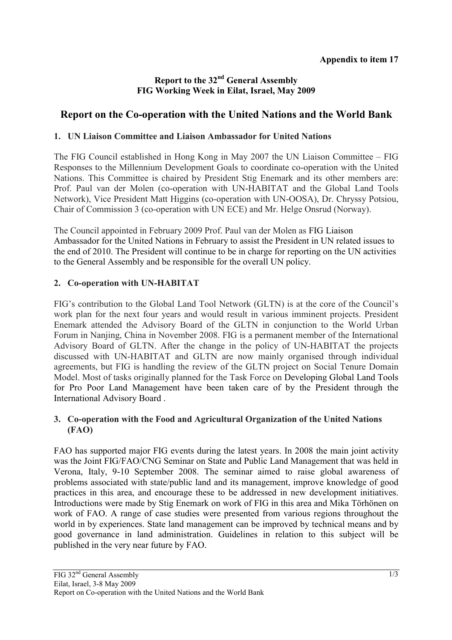## **Report to the 32nd General Assembly FIG Working Week in Eilat, Israel, May 2009**

# **Report on the Co-operation with the United Nations and the World Bank**

## **1. UN Liaison Committee and Liaison Ambassador for United Nations**

The FIG Council established in Hong Kong in May 2007 the UN Liaison Committee – FIG Responses to the Millennium Development Goals to coordinate co-operation with the United Nations. This Committee is chaired by President Stig Enemark and its other members are: Prof. Paul van der Molen (co-operation with UN-HABITAT and the Global Land Tools Network), Vice President Matt Higgins (co-operation with UN-OOSA), Dr. Chryssy Potsiou, Chair of Commission 3 (co-operation with UN ECE) and Mr. Helge Onsrud (Norway).

The Council appointed in February 2009 Prof. Paul van der Molen as FIG Liaison Ambassador for the United Nations in February to assist the President in UN related issues to the end of 2010. The President will continue to be in charge for reporting on the UN activities to the General Assembly and be responsible for the overall UN policy.

#### **2. Co-operation with UN-HABITAT**

FIG's contribution to the Global Land Tool Network (GLTN) is at the core of the Council's work plan for the next four years and would result in various imminent projects. President Enemark attended the Advisory Board of the GLTN in conjunction to the World Urban Forum in Nanjing, China in November 2008. FIG is a permanent member of the International Advisory Board of GLTN. After the change in the policy of UN-HABITAT the projects discussed with UN-HABITAT and GLTN are now mainly organised through individual agreements, but FIG is handling the review of the GLTN project on Social Tenure Domain Model. Most of tasks originally planned for the Task Force on Developing Global Land Tools for Pro Poor Land Management have been taken care of by the President through the International Advisory Board .

## **3. Co-operation with the Food and Agricultural Organization of the United Nations (FAO)**

FAO has supported major FIG events during the latest years. In 2008 the main joint activity was the Joint FIG/FAO/CNG Seminar on State and Public Land Management that was held in Verona, Italy, 9-10 September 2008. The seminar aimed to raise global awareness of problems associated with state/public land and its management, improve knowledge of good practices in this area, and encourage these to be addressed in new development initiatives. Introductions were made by Stig Enemark on work of FIG in this area and Mika Törhönen on work of FAO. A range of case studies were presented from various regions throughout the world in by experiences. State land management can be improved by technical means and by good governance in land administration. Guidelines in relation to this subject will be published in the very near future by FAO.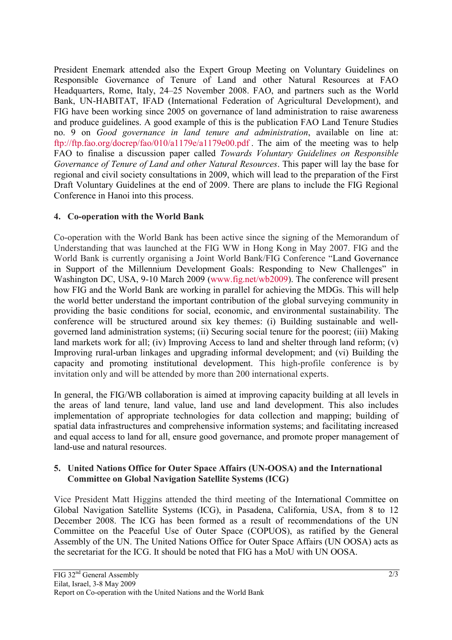President Enemark attended also the Expert Group Meeting on Voluntary Guidelines on Responsible Governance of Tenure of Land and other Natural Resources at FAO Headquarters, Rome, Italy, 24–25 November 2008. FAO, and partners such as the World Bank, UN-HABITAT, IFAD (International Federation of Agricultural Development), and FIG have been working since 2005 on governance of land administration to raise awareness and produce guidelines. A good example of this is the publication FAO Land Tenure Studies no. 9 on *Good governance in land tenure and administration*, available on line at: ftp://ftp.fao.org/docrep/fao/010/a1179e/a1179e00.pdf . The aim of the meeting was to help FAO to finalise a discussion paper called *Towards Voluntary Guidelines on Responsible Governance of Tenure of Land and other Natural Resources*. This paper will lay the base for regional and civil society consultations in 2009, which will lead to the preparation of the First Draft Voluntary Guidelines at the end of 2009. There are plans to include the FIG Regional Conference in Hanoi into this process.

#### **4. Co-operation with the World Bank**

Co-operation with the World Bank has been active since the signing of the Memorandum of Understanding that was launched at the FIG WW in Hong Kong in May 2007. FIG and the World Bank is currently organising a Joint World Bank/FIG Conference "Land Governance in Support of the Millennium Development Goals: Responding to New Challenges" in Washington DC, USA, 9-10 March 2009 (www.fig.net/wb2009). The conference will present how FIG and the World Bank are working in parallel for achieving the MDGs. This will help the world better understand the important contribution of the global surveying community in providing the basic conditions for social, economic, and environmental sustainability. The conference will be structured around six key themes: (i) Building sustainable and wellgoverned land administration systems; (ii) Securing social tenure for the poorest; (iii) Making land markets work for all; (iv) Improving Access to land and shelter through land reform; (v) Improving rural-urban linkages and upgrading informal development; and (vi) Building the capacity and promoting institutional development. This high-profile conference is by invitation only and will be attended by more than 200 international experts.

In general, the FIG/WB collaboration is aimed at improving capacity building at all levels in the areas of land tenure, land value, land use and land development. This also includes implementation of appropriate technologies for data collection and mapping; building of spatial data infrastructures and comprehensive information systems; and facilitating increased and equal access to land for all, ensure good governance, and promote proper management of land-use and natural resources.

#### **5. United Nations Office for Outer Space Affairs (UN-OOSA) and the International Committee on Global Navigation Satellite Systems (ICG)**

Vice President Matt Higgins attended the third meeting of the International Committee on Global Navigation Satellite Systems (ICG), in Pasadena, California, USA, from 8 to 12 December 2008. The ICG has been formed as a result of recommendations of the UN Committee on the Peaceful Use of Outer Space (COPUOS), as ratified by the General Assembly of the UN. The United Nations Office for Outer Space Affairs (UN OOSA) acts as the secretariat for the ICG. It should be noted that FIG has a MoU with UN OOSA.